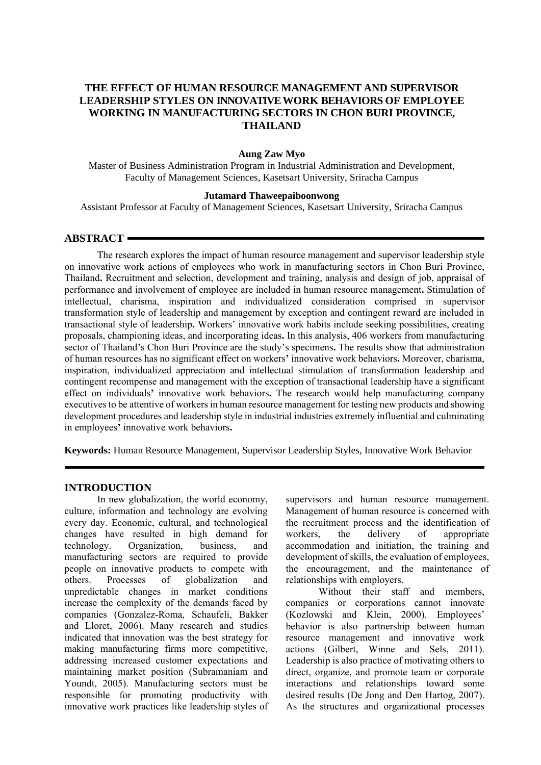# **THE EFFECT OF HUMAN RESOURCE MANAGEMENT AND SUPERVISOR LEADERSHIP STYLES ON INNOVATIVE WORK BEHAVIORS OF EMPLOYEE WORKING IN MANUFACTURING SECTORS IN CHON BURI PROVINCE, THAILAND**

#### **Aung Zaw Myo**

Master of Business Administration Program in Industrial Administration and Development, Faculty of Management Sciences, Kasetsart University, Sriracha Campus

#### **Jutamard Thaweepaiboonwong**

Assistant Professor at Faculty of Management Sciences, Kasetsart University, Sriracha Campus

## **ABSTRACT**

The research explores the impact of human resource management and supervisor leadership style on innovative work actions of employees who work in manufacturing sectors in Chon Buri Province, Thailand**.** Recruitment and selection, development and training, analysis and design of job, appraisal of performance and involvement of employee are included in human resource management**.** Stimulation of intellectual, charisma, inspiration and individualized consideration comprised in supervisor transformation style of leadership and management by exception and contingent reward are included in transactional style of leadership**.** Workers' innovative work habits include seeking possibilities, creating proposals, championing ideas, and incorporating ideas**.** In this analysis, 406 workers from manufacturing sector of Thailand's Chon Buri Province are the study's specimens**.** The results show that administration of human resources has no significant effect on workers**'** innovative work behaviors**.** Moreover, charisma, inspiration, individualized appreciation and intellectual stimulation of transformation leadership and contingent recompense and management with the exception of transactional leadership have a significant effect on individuals**'** innovative work behaviors**.** The research would help manufacturing company executives to be attentive of workers in human resource management for testing new products and showing development procedures and leadership style in industrial industries extremely influential and culminating in employees**'** innovative work behaviors**.**

**Keywords:** Human Resource Management, Supervisor Leadership Styles, Innovative Work Behavior

#### **INTRODUCTION**

In new globalization, the world economy, culture, information and technology are evolving every day. Economic, cultural, and technological changes have resulted in high demand for technology. Organization, business, and manufacturing sectors are required to provide people on innovative products to compete with others. Processes of globalization and unpredictable changes in market conditions increase the complexity of the demands faced by companies (Gonzalez-Roma, Schaufeli, Bakker and Lloret, 2006). Many research and studies indicated that innovation was the best strategy for making manufacturing firms more competitive, addressing increased customer expectations and maintaining market position (Subramaniam and Youndt, 2005). Manufacturing sectors must be responsible for promoting productivity with innovative work practices like leadership styles of supervisors and human resource management. Management of human resource is concerned with the recruitment process and the identification of workers, the delivery of appropriate accommodation and initiation, the training and development of skills, the evaluation of employees, the encouragement, and the maintenance of relationships with employers.

Without their staff and members, companies or corporations cannot innovate (Kozlowski and Klein, 2000). Employees' behavior is also partnership between human resource management and innovative work actions (Gilbert, Winne and Sels, 2011). Leadership is also practice of motivating others to direct, organize, and promote team or corporate interactions and relationships toward some desired results (De Jong and Den Hartog, 2007). As the structures and organizational processes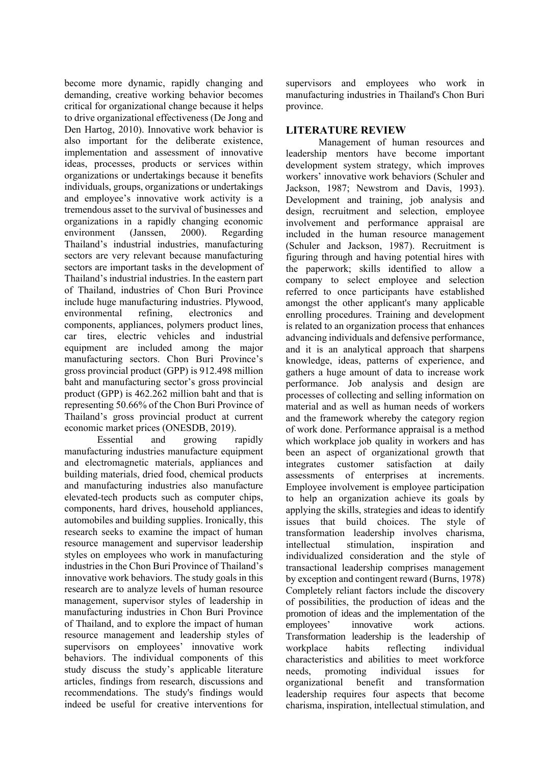become more dynamic, rapidly changing and demanding, creative working behavior becomes critical for organizational change because it helps to drive organizational effectiveness (De Jong and Den Hartog, 2010). Innovative work behavior is also important for the deliberate existence, implementation and assessment of innovative ideas, processes, products or services within organizations or undertakings because it benefits individuals, groups, organizations or undertakings and employee's innovative work activity is a tremendous asset to the survival of businesses and organizations in a rapidly changing economic environment (Janssen, 2000). Regarding Thailand's industrial industries, manufacturing sectors are very relevant because manufacturing sectors are important tasks in the development of Thailand's industrial industries. In the eastern part of Thailand, industries of Chon Buri Province include huge manufacturing industries. Plywood, environmental refining, electronics and components, appliances, polymers product lines, car tires, electric vehicles and industrial equipment are included among the major manufacturing sectors. Chon Buri Province's gross provincial product (GPP) is 912.498 million baht and manufacturing sector's gross provincial product (GPP) is 462.262 million baht and that is representing 50.66% of the Chon Buri Province of Thailand's gross provincial product at current economic market prices (ONESDB, 2019).

Essential and growing rapidly manufacturing industries manufacture equipment and electromagnetic materials, appliances and building materials, dried food, chemical products and manufacturing industries also manufacture elevated-tech products such as computer chips, components, hard drives, household appliances, automobiles and building supplies. Ironically, this research seeks to examine the impact of human resource management and supervisor leadership styles on employees who work in manufacturing industries in the Chon Buri Province of Thailand's innovative work behaviors. The study goals in this research are to analyze levels of human resource management, supervisor styles of leadership in manufacturing industries in Chon Buri Province of Thailand, and to explore the impact of human resource management and leadership styles of supervisors on employees' innovative work behaviors. The individual components of this study discuss the study's applicable literature articles, findings from research, discussions and recommendations. The study's findings would indeed be useful for creative interventions for

supervisors and employees who work in manufacturing industries in Thailand's Chon Buri province.

## **LITERATURE REVIEW**

Management of human resources and leadership mentors have become important development system strategy, which improves workers' innovative work behaviors (Schuler and Jackson, 1987; Newstrom and Davis, 1993). Development and training, job analysis and design, recruitment and selection, employee involvement and performance appraisal are included in the human resource management (Schuler and Jackson, 1987). Recruitment is figuring through and having potential hires with the paperwork; skills identified to allow a company to select employee and selection referred to once participants have established amongst the other applicant's many applicable enrolling procedures. Training and development is related to an organization process that enhances advancing individuals and defensive performance, and it is an analytical approach that sharpens knowledge, ideas, patterns of experience, and gathers a huge amount of data to increase work performance. Job analysis and design are processes of collecting and selling information on material and as well as human needs of workers and the framework whereby the category region of work done. Performance appraisal is a method which workplace job quality in workers and has been an aspect of organizational growth that integrates customer satisfaction at daily assessments of enterprises at increments. Employee involvement is employee participation to help an organization achieve its goals by applying the skills, strategies and ideas to identify issues that build choices. The style of transformation leadership involves charisma, intellectual stimulation, inspiration and individualized consideration and the style of transactional leadership comprises management by exception and contingent reward (Burns, 1978) Completely reliant factors include the discovery of possibilities, the production of ideas and the promotion of ideas and the implementation of the employees' innovative work actions. Transformation leadership is the leadership of workplace habits reflecting individual characteristics and abilities to meet workforce needs, promoting individual issues for organizational benefit and transformation leadership requires four aspects that become charisma, inspiration, intellectual stimulation, and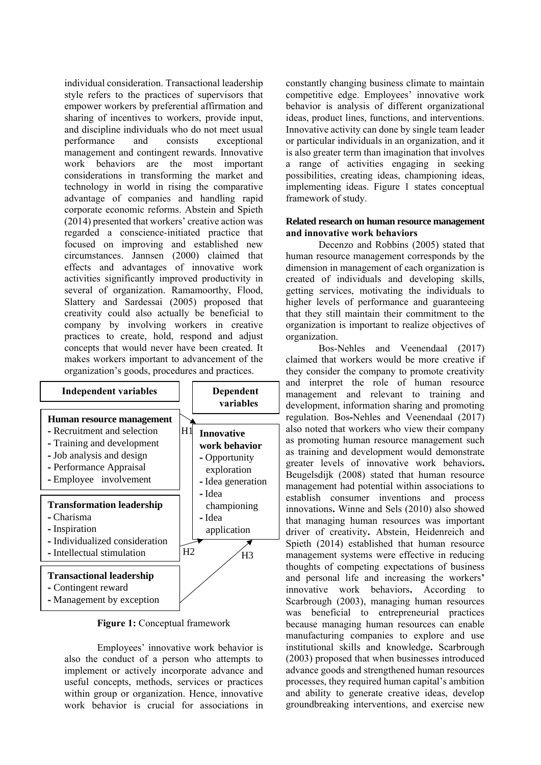individual consideration. Transactional leadership style refers to the practices of supervisors that empower workers by preferential affirmation and sharing of incentives to workers, provide input, and discipline individuals who do not meet usual performance and consists exceptional management and contingent rewards. Innovative work behaviors are the most important considerations in transforming the market and technology in world in rising the comparative advantage of companies and handling rapid corporate economic reforms. Abstein and Spieth (2014) presented that workers' creative action was regarded a conscience-initiated practice that focused on improving and established new circumstances. Jannsen (2000) claimed that effects and advantages of innovative work activities significantly improved productivity in several of organization. Ramamoorthy, Flood, Slattery and Sardessai (2005) proposed that creativity could also actually be beneficial to company by involving workers in creative practices to create, hold, respond and adjust concepts that would never have been created. It makes workers important to advancement of the organization's goods, procedures and practices.



**Figure 1:** Conceptual framework

Employees' innovative work behavior is also the conduct of a person who attempts to implement or actively incorporate advance and useful concepts, methods, services or practices within group or organization. Hence, innovative work behavior is crucial for associations in constantly changing business climate to maintain competitive edge. Employees' innovative work behavior is analysis of different organizational ideas, product lines, functions, and interventions. Innovative activity can done by single team leader or particular individuals in an organization, and it is also greater term than imagination that involves a range of activities engaging in seeking possibilities, creating ideas, championing ideas, implementing ideas. Figure 1 states conceptual framework of study.

### **Related research on human resource management and innovative work behaviors**

Decenzo and Robbins (2005) stated that human resource management corresponds by the dimension in management of each organization is created of individuals and developing skills, getting services, motivating the individuals to higher levels of performance and guaranteeing that they still maintain their commitment to the organization is important to realize objectives of organization.

Bos-Nehles and Veenendaal (2017) claimed that workers would be more creative if they consider the company to promote creativity and interpret the role of human resource management and relevant to training and development, information sharing and promoting regulation. Bos**-**Nehles and Veenendaal (2017) also noted that workers who view their company as promoting human resource management such as training and development would demonstrate greater levels of innovative work behaviors**.**  Beugelsdijk (2008) stated that human resource management had potential within associations to establish consumer inventions and process innovations**.** Winne and Sels (2010) also showed that managing human resources was important driver of creativity**.** Abstein, Heidenreich and Spieth (2014) established that human resource management systems were effective in reducing thoughts of competing expectations of business and personal life and increasing the workers**'**  innovative work behaviors**.** According to Scarbrough (2003), managing human resources was beneficial to entrepreneurial practices because managing human resources can enable manufacturing companies to explore and use institutional skills and knowledge**.** Scarbrough (2003) proposed that when businesses introduced advance goods and strengthened human resources processes, they required human capital's ambition and ability to generate creative ideas, develop groundbreaking interventions, and exercise new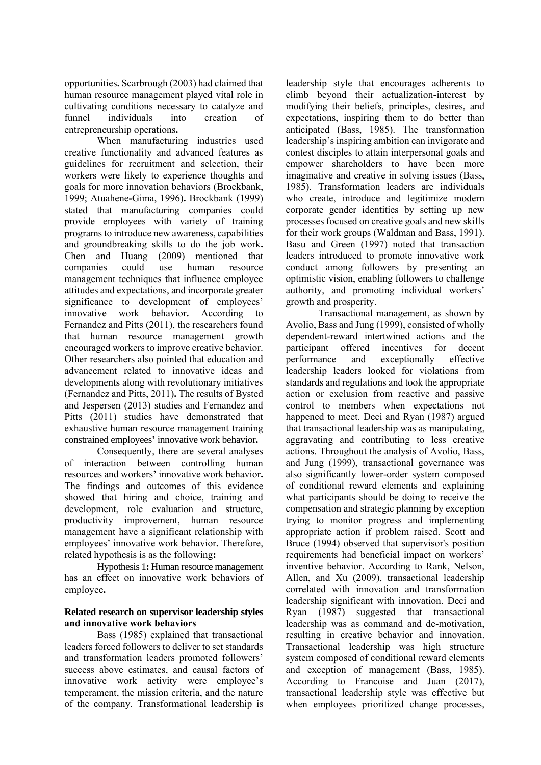opportunities**.** Scarbrough (2003) had claimed that human resource management played vital role in cultivating conditions necessary to catalyze and funnel individuals into creation of entrepreneurship operations**.**

When manufacturing industries used creative functionality and advanced features as guidelines for recruitment and selection, their workers were likely to experience thoughts and goals for more innovation behaviors (Brockbank, 1999; Atuahene**-**Gima, 1996)**.** Brockbank (1999) stated that manufacturing companies could provide employees with variety of training programs to introduce new awareness, capabilities and groundbreaking skills to do the job work**.** Chen and Huang (2009) mentioned that companies could use human resource management techniques that influence employee attitudes and expectations, and incorporate greater significance to development of employees' innovative work behavior**.** According to Fernandez and Pitts (2011), the researchers found that human resource management growth encouraged workers to improve creative behavior. Other researchers also pointed that education and advancement related to innovative ideas and developments along with revolutionary initiatives (Fernandez and Pitts, 2011)**.** The results of Bysted and Jespersen (2013) studies and Fernandez and Pitts (2011) studies have demonstrated that exhaustive human resource management training constrained employees**'** innovative work behavior**.**

Consequently, there are several analyses of interaction between controlling human resources and workers**'** innovative work behavior**.** The findings and outcomes of this evidence showed that hiring and choice, training and development, role evaluation and structure, productivity improvement, human resource management have a significant relationship with employees' innovative work behavior**.** Therefore, related hypothesis is as the following**:**

Hypothesis 1**:** Human resource management has an effect on innovative work behaviors of employee**.**

### **Related research on supervisor leadership styles and innovative work behaviors**

Bass (1985) explained that transactional leaders forced followers to deliver to set standards and transformation leaders promoted followers' success above estimates, and causal factors of innovative work activity were employee's temperament, the mission criteria, and the nature of the company. Transformational leadership is

leadership style that encourages adherents to climb beyond their actualization-interest by modifying their beliefs, principles, desires, and expectations, inspiring them to do better than anticipated (Bass, 1985). The transformation leadership's inspiring ambition can invigorate and contest disciples to attain interpersonal goals and empower shareholders to have been more imaginative and creative in solving issues (Bass, 1985). Transformation leaders are individuals who create, introduce and legitimize modern corporate gender identities by setting up new processes focused on creative goals and new skills for their work groups (Waldman and Bass, 1991). Basu and Green (1997) noted that transaction leaders introduced to promote innovative work conduct among followers by presenting an optimistic vision, enabling followers to challenge authority, and promoting individual workers' growth and prosperity.

Transactional management, as shown by Avolio, Bass and Jung (1999), consisted of wholly dependent-reward intertwined actions and the participant offered incentives for decent performance and exceptionally effective leadership leaders looked for violations from standards and regulations and took the appropriate action or exclusion from reactive and passive control to members when expectations not happened to meet. Deci and Ryan (1987) argued that transactional leadership was as manipulating, aggravating and contributing to less creative actions. Throughout the analysis of Avolio, Bass, and Jung (1999), transactional governance was also significantly lower-order system composed of conditional reward elements and explaining what participants should be doing to receive the compensation and strategic planning by exception trying to monitor progress and implementing appropriate action if problem raised. Scott and Bruce (1994) observed that supervisor's position requirements had beneficial impact on workers' inventive behavior. According to Rank, Nelson, Allen, and Xu (2009), transactional leadership correlated with innovation and transformation leadership significant with innovation. Deci and Ryan (1987) suggested that transactional leadership was as command and de-motivation, resulting in creative behavior and innovation. Transactional leadership was high structure system composed of conditional reward elements and exception of management (Bass, 1985). According to Francoise and Juan (2017), transactional leadership style was effective but when employees prioritized change processes,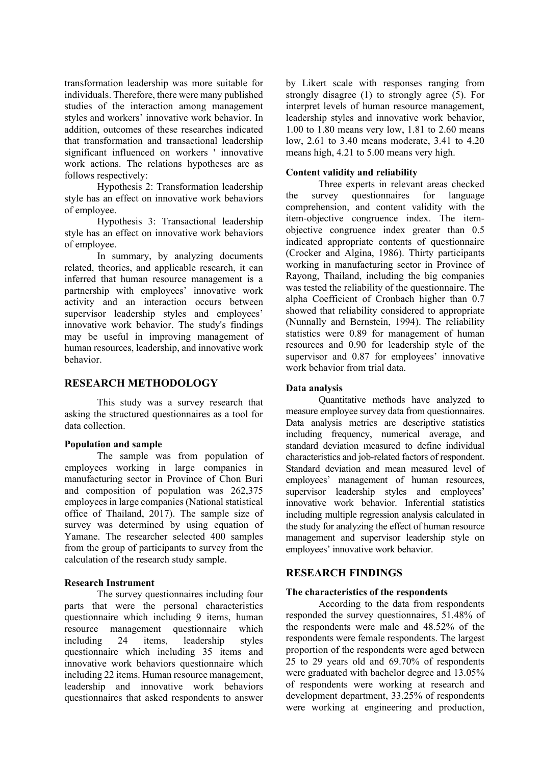transformation leadership was more suitable for individuals. Therefore, there were many published studies of the interaction among management styles and workers' innovative work behavior. In addition, outcomes of these researches indicated that transformation and transactional leadership significant influenced on workers ' innovative work actions. The relations hypotheses are as follows respectively:

Hypothesis 2: Transformation leadership style has an effect on innovative work behaviors of employee.

Hypothesis 3: Transactional leadership style has an effect on innovative work behaviors of employee.

In summary, by analyzing documents related, theories, and applicable research, it can inferred that human resource management is a partnership with employees' innovative work activity and an interaction occurs between supervisor leadership styles and employees' innovative work behavior. The study's findings may be useful in improving management of human resources, leadership, and innovative work behavior.

## **RESEARCH METHODOLOGY**

This study was a survey research that asking the structured questionnaires as a tool for data collection.

### **Population and sample**

The sample was from population of employees working in large companies in manufacturing sector in Province of Chon Buri and composition of population was 262,375 employees in large companies (National statistical office of Thailand, 2017). The sample size of survey was determined by using equation of Yamane. The researcher selected 400 samples from the group of participants to survey from the calculation of the research study sample.

### **Research Instrument**

The survey questionnaires including four parts that were the personal characteristics questionnaire which including 9 items, human resource management questionnaire which including 24 items, leadership styles questionnaire which including 35 items and innovative work behaviors questionnaire which including 22 items. Human resource management, leadership and innovative work behaviors questionnaires that asked respondents to answer

by Likert scale with responses ranging from strongly disagree (1) to strongly agree (5). For interpret levels of human resource management, leadership styles and innovative work behavior, 1.00 to 1.80 means very low, 1.81 to 2.60 means low, 2.61 to 3.40 means moderate, 3.41 to 4.20 means high, 4.21 to 5.00 means very high.

### **Content validity and reliability**

Three experts in relevant areas checked the survey questionnaires for language comprehension, and content validity with the item-objective congruence index. The itemobjective congruence index greater than 0.5 indicated appropriate contents of questionnaire (Crocker and Algina, 1986). Thirty participants working in manufacturing sector in Province of Rayong, Thailand, including the big companies was tested the reliability of the questionnaire. The alpha Coefficient of Cronbach higher than 0.7 showed that reliability considered to appropriate (Nunnally and Bernstein, 1994). The reliability statistics were 0.89 for management of human resources and 0.90 for leadership style of the supervisor and 0.87 for employees' innovative work behavior from trial data.

### **Data analysis**

Quantitative methods have analyzed to measure employee survey data from questionnaires. Data analysis metrics are descriptive statistics including frequency, numerical average, and standard deviation measured to define individual characteristics and job-related factors of respondent. Standard deviation and mean measured level of employees' management of human resources, supervisor leadership styles and employees' innovative work behavior. Inferential statistics including multiple regression analysis calculated in the study for analyzing the effect of human resource management and supervisor leadership style on employees' innovative work behavior.

### **RESEARCH FINDINGS**

### **The characteristics of the respondents**

According to the data from respondents responded the survey questionnaires, 51.48% of the respondents were male and 48.52% of the respondents were female respondents. The largest proportion of the respondents were aged between 25 to 29 years old and 69.70% of respondents were graduated with bachelor degree and 13.05% of respondents were working at research and development department, 33.25% of respondents were working at engineering and production,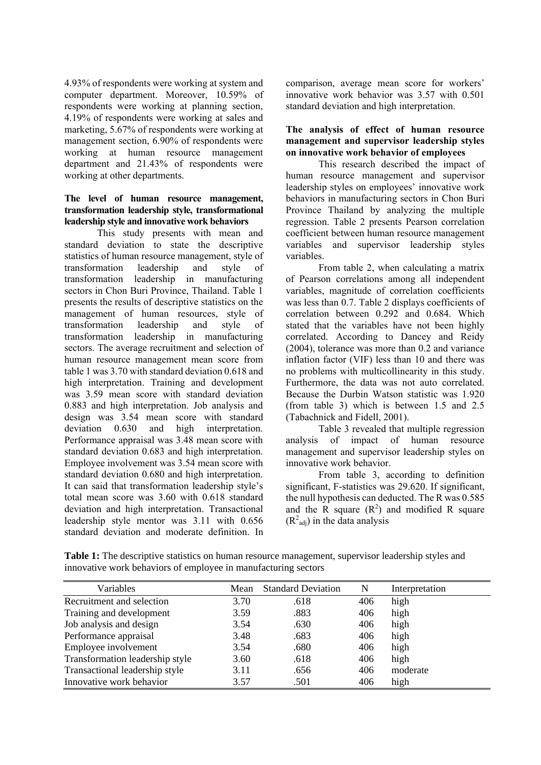4.93% of respondents were working at system and computer department. Moreover, 10.59% of respondents were working at planning section, 4.19% of respondents were working at sales and marketing, 5.67% of respondents were working at management section, 6.90% of respondents were working at human resource management department and 21.43% of respondents were working at other departments.

### **The level of human resource management, transformation leadership style, transformational leadership style and innovative work behaviors**

This study presents with mean and standard deviation to state the descriptive statistics of human resource management, style of transformation leadership and style of transformation leadership in manufacturing sectors in Chon Buri Province, Thailand. Table 1 presents the results of descriptive statistics on the management of human resources, style of transformation leadership and style of transformation leadership in manufacturing sectors. The average recruitment and selection of human resource management mean score from table 1 was 3.70 with standard deviation 0.618 and high interpretation. Training and development was 3.59 mean score with standard deviation 0.883 and high interpretation. Job analysis and design was 3.54 mean score with standard deviation 0.630 and high interpretation. Performance appraisal was 3.48 mean score with standard deviation 0.683 and high interpretation. Employee involvement was 3.54 mean score with standard deviation 0.680 and high interpretation. It can said that transformation leadership style's total mean score was 3.60 with 0.618 standard deviation and high interpretation. Transactional leadership style mentor was 3.11 with 0.656 standard deviation and moderate definition. In

comparison, average mean score for workers' innovative work behavior was 3.57 with 0.501 standard deviation and high interpretation.

### **The analysis of effect of human resource management and supervisor leadership styles on innovative work behavior of employees**

This research described the impact of human resource management and supervisor leadership styles on employees' innovative work behaviors in manufacturing sectors in Chon Buri Province Thailand by analyzing the multiple regression. Table 2 presents Pearson correlation coefficient between human resource management variables and supervisor leadership styles variables.

From table 2, when calculating a matrix of Pearson correlations among all independent variables, magnitude of correlation coefficients was less than 0.7. Table 2 displays coefficients of correlation between 0.292 and 0.684. Which stated that the variables have not been highly correlated. According to Dancey and Reidy (2004), tolerance was more than 0.2 and variance inflation factor (VIF) less than 10 and there was no problems with multicollinearity in this study. Furthermore, the data was not auto correlated. Because the Durbin Watson statistic was 1.920 (from table 3) which is between 1.5 and 2.5 (Tabachnick and Fidell, 2001).

Table 3 revealed that multiple regression analysis of impact of human resource management and supervisor leadership styles on innovative work behavior.

From table 3, according to definition significant, F-statistics was 29.620. If significant, the null hypothesis can deducted. The R was 0.585 and the  $\overline{R}$  square  $(R^2)$  and modified  $\overline{R}$  square  $(R<sup>2</sup><sub>adj</sub>)$  in the data analysis

**Table 1:** The descriptive statistics on human resource management, supervisor leadership styles and innovative work behaviors of employee in manufacturing sectors

| Variables                       | Mean | <b>Standard Deviation</b> | N   | Interpretation |
|---------------------------------|------|---------------------------|-----|----------------|
| Recruitment and selection       | 3.70 | .618                      | 406 | high           |
| Training and development        | 3.59 | .883                      | 406 | high           |
| Job analysis and design         | 3.54 | .630                      | 406 | high           |
| Performance appraisal           | 3.48 | .683                      | 406 | high           |
| Employee involvement            | 3.54 | .680                      | 406 | high           |
| Transformation leadership style | 3.60 | .618                      | 406 | high           |
| Transactional leadership style  | 3.11 | .656                      | 406 | moderate       |
| Innovative work behavior        | 3.57 | .501                      | 406 | high           |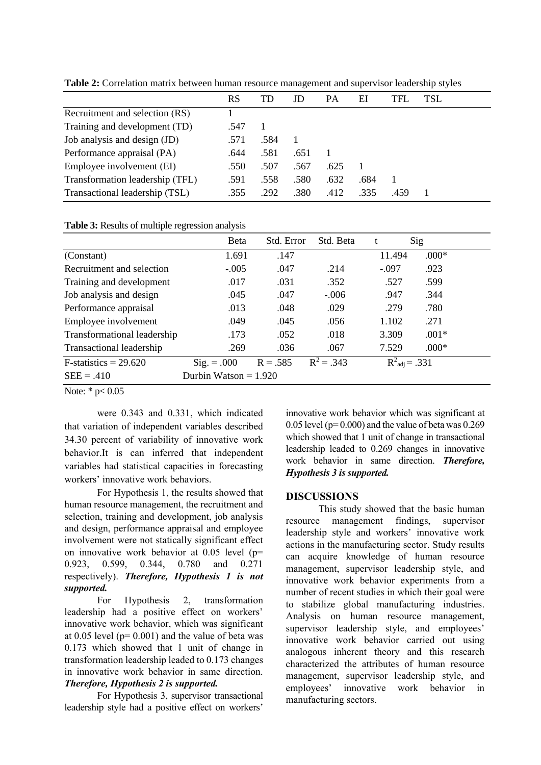|                                 | RS   | TD   | JD   | PА   | ΕI   | TFL  | <b>TSL</b> |
|---------------------------------|------|------|------|------|------|------|------------|
| Recruitment and selection (RS)  |      |      |      |      |      |      |            |
| Training and development (TD)   | .547 |      |      |      |      |      |            |
| Job analysis and design (JD)    | .571 | .584 |      |      |      |      |            |
| Performance appraisal (PA)      | .644 | .581 | .651 |      |      |      |            |
| Employee involvement (EI)       | .550 | .507 | .567 | .625 |      |      |            |
| Transformation leadership (TFL) | .591 | .558 | .580 | .632 | .684 |      |            |
| Transactional leadership (TSL)  | .355 | .292 | .380 | .412 | .335 | .459 |            |

**Table 2:** Correlation matrix between human resource management and supervisor leadership styles

|                             | <b>Beta</b>             | Std. Error | Std. Beta    |         | Sig                       |  |
|-----------------------------|-------------------------|------------|--------------|---------|---------------------------|--|
| (Constant)                  | 1.691                   | .147       |              | 11.494  | $.000*$                   |  |
| Recruitment and selection   | $-.005$                 | .047       | .214         | $-.097$ | .923                      |  |
| Training and development    | .017                    | .031       | .352         | .527    | .599                      |  |
| Job analysis and design     | .045                    | .047       | $-.006$      | .947    | .344                      |  |
| Performance appraisal       | .013                    | .048       | .029         | .279    | .780                      |  |
| Employee involvement        | .049                    | .045       | .056         | 1.102   | .271                      |  |
| Transformational leadership | .173                    | .052       | .018         | 3.309   | $.001*$                   |  |
| Transactional leadership    | .269                    | .036       | .067         | 7.529   | $.000*$                   |  |
| $F-statistics = 29.620$     | $Sig. = .000$           | $R = .585$ | $R^2 = .343$ |         | $R^2_{\text{adj}} = .331$ |  |
| $SEE = .410$                | Durbin Watson = $1.920$ |            |              |         |                           |  |

Note: \*  $p < 0.05$ 

were 0.343 and 0.331, which indicated that variation of independent variables described 34.30 percent of variability of innovative work behavior.It is can inferred that independent variables had statistical capacities in forecasting workers' innovative work behaviors.

For Hypothesis 1, the results showed that human resource management, the recruitment and selection, training and development, job analysis and design, performance appraisal and employee involvement were not statically significant effect on innovative work behavior at 0.05 level (p= 0.923, 0.599, 0.344, 0.780 and 0.271 respectively). *Therefore, Hypothesis 1 is not supported.*

For Hypothesis 2, transformation leadership had a positive effect on workers' innovative work behavior, which was significant at  $0.05$  level ( $p= 0.001$ ) and the value of beta was 0.173 which showed that 1 unit of change in transformation leadership leaded to 0.173 changes in innovative work behavior in same direction. *Therefore, Hypothesis 2 is supported.*

For Hypothesis 3, supervisor transactional leadership style had a positive effect on workers'

innovative work behavior which was significant at  $0.05$  level (p=  $0.000$ ) and the value of beta was  $0.269$ which showed that 1 unit of change in transactional leadership leaded to 0.269 changes in innovative work behavior in same direction. *Therefore, Hypothesis 3 is supported.*

# **DISCUSSIONS**

This study showed that the basic human resource management findings, supervisor leadership style and workers' innovative work actions in the manufacturing sector. Study results can acquire knowledge of human resource management, supervisor leadership style, and innovative work behavior experiments from a number of recent studies in which their goal were to stabilize global manufacturing industries. Analysis on human resource management, supervisor leadership style, and employees' innovative work behavior carried out using analogous inherent theory and this research characterized the attributes of human resource management, supervisor leadership style, and employees' innovative work behavior in manufacturing sectors.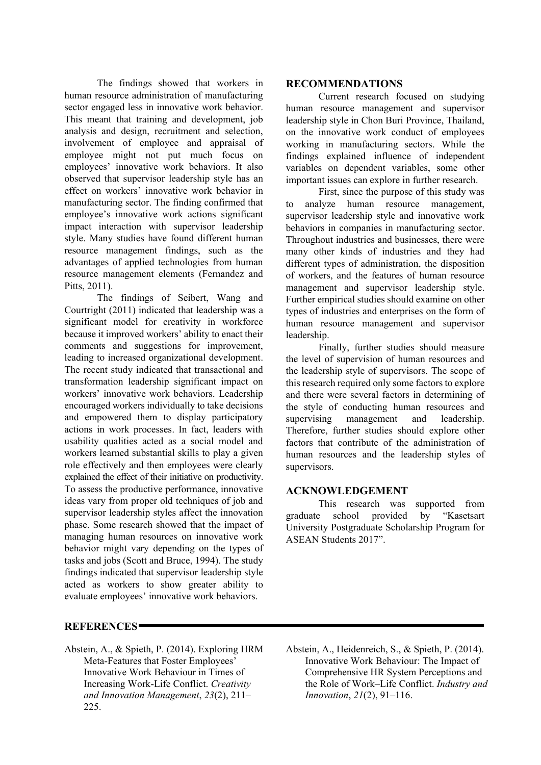The findings showed that workers in human resource administration of manufacturing sector engaged less in innovative work behavior. This meant that training and development, job analysis and design, recruitment and selection, involvement of employee and appraisal of employee might not put much focus on employees' innovative work behaviors. It also observed that supervisor leadership style has an effect on workers' innovative work behavior in manufacturing sector. The finding confirmed that employee's innovative work actions significant impact interaction with supervisor leadership style. Many studies have found different human resource management findings, such as the advantages of applied technologies from human resource management elements (Fernandez and Pitts, 2011).

The findings of Seibert, Wang and Courtright (2011) indicated that leadership was a significant model for creativity in workforce because it improved workers' ability to enact their comments and suggestions for improvement, leading to increased organizational development. The recent study indicated that transactional and transformation leadership significant impact on workers' innovative work behaviors. Leadership encouraged workers individually to take decisions and empowered them to display participatory actions in work processes. In fact, leaders with usability qualities acted as a social model and workers learned substantial skills to play a given role effectively and then employees were clearly explained the effect of their initiative on productivity. To assess the productive performance, innovative ideas vary from proper old techniques of job and supervisor leadership styles affect the innovation phase. Some research showed that the impact of managing human resources on innovative work behavior might vary depending on the types of tasks and jobs (Scott and Bruce, 1994). The study findings indicated that supervisor leadership style acted as workers to show greater ability to evaluate employees' innovative work behaviors.

## **RECOMMENDATIONS**

Current research focused on studying human resource management and supervisor leadership style in Chon Buri Province, Thailand, on the innovative work conduct of employees working in manufacturing sectors. While the findings explained influence of independent variables on dependent variables, some other important issues can explore in further research.

First, since the purpose of this study was to analyze human resource management, supervisor leadership style and innovative work behaviors in companies in manufacturing sector. Throughout industries and businesses, there were many other kinds of industries and they had different types of administration, the disposition of workers, and the features of human resource management and supervisor leadership style. Further empirical studies should examine on other types of industries and enterprises on the form of human resource management and supervisor leadership.

Finally, further studies should measure the level of supervision of human resources and the leadership style of supervisors. The scope of this research required only some factors to explore and there were several factors in determining of the style of conducting human resources and supervising management and leadership. Therefore, further studies should explore other factors that contribute of the administration of human resources and the leadership styles of supervisors.

# **ACKNOWLEDGEMENT**

This research was supported from graduate school provided by "Kasetsart University Postgraduate Scholarship Program for ASEAN Students 2017".

# **REFERENCES**

- Abstein, A., & Spieth, P. (2014). Exploring HRM Meta-Features that Foster Employees' Innovative Work Behaviour in Times of Increasing Work-Life Conflict. *Creativity and Innovation Management*, *23*(2), 211– 225.
- Abstein, A., Heidenreich, S., & Spieth, P. (2014). Innovative Work Behaviour: The Impact of Comprehensive HR System Perceptions and the Role of Work–Life Conflict. *Industry and Innovation*, *21*(2), 91–116.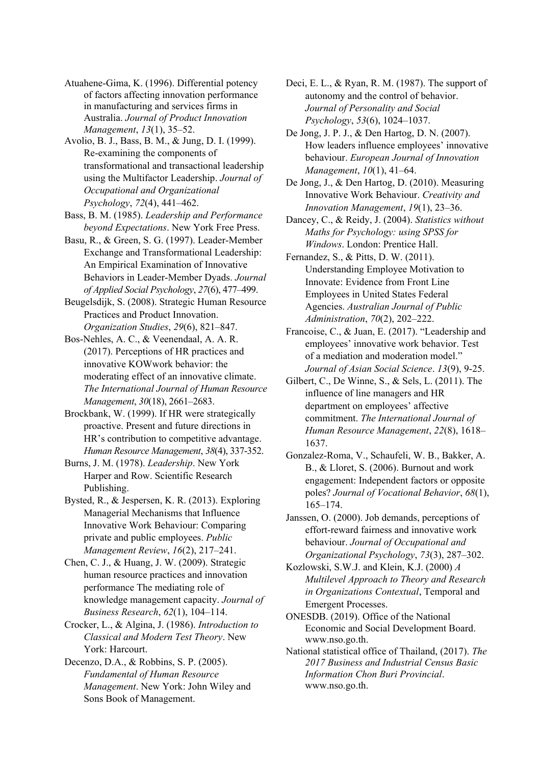Atuahene-Gima, K. (1996). Differential potency of factors affecting innovation performance in manufacturing and services firms in Australia. *Journal of Product Innovation Management*, *13*(1), 35–52.

Avolio, B. J., Bass, B. M., & Jung, D. I. (1999). Re-examining the components of transformational and transactional leadership using the Multifactor Leadership. *Journal of Occupational and Organizational Psychology*, *72*(4), 441–462.

Bass, B. M. (1985). *Leadership and Performance beyond Expectations*. New York Free Press.

Basu, R., & Green, S. G. (1997). Leader-Member Exchange and Transformational Leadership: An Empirical Examination of Innovative Behaviors in Leader-Member Dyads. *Journal of Applied Social Psychology*, *27*(6), 477–499.

Beugelsdijk, S. (2008). Strategic Human Resource Practices and Product Innovation. *Organization Studies*, *29*(6), 821–847.

Bos-Nehles, A. C., & Veenendaal, A. A. R. (2017). Perceptions of HR practices and innovative KOWwork behavior: the moderating effect of an innovative climate. *The International Journal of Human Resource Management*, *30*(18), 2661–2683.

Brockbank, W. (1999). If HR were strategically proactive. Present and future directions in HR's contribution to competitive advantage. *Human Resource Management*, *38*(4), 337-352.

Burns, J. M. (1978). *Leadership*. New York Harper and Row. Scientific Research Publishing.

Bysted, R., & Jespersen, K. R. (2013). Exploring Managerial Mechanisms that Influence Innovative Work Behaviour: Comparing private and public employees. *Public Management Review*, *16*(2), 217–241.

Chen, C. J., & Huang, J. W. (2009). Strategic human resource practices and innovation performance The mediating role of knowledge management capacity. *Journal of Business Research*, *62*(1), 104–114.

Crocker, L., & Algina, J. (1986). *Introduction to Classical and Modern Test Theory*. New York: Harcourt.

Decenzo, D.A., & Robbins, S. P. (2005). *Fundamental of Human Resource Management*. New York: John Wiley and Sons Book of Management.

Deci, E. L., & Ryan, R. M. (1987). The support of autonomy and the control of behavior. *Journal of Personality and Social Psychology*, *53*(6), 1024–1037.

De Jong, J. P. J., & Den Hartog, D. N. (2007). How leaders influence employees' innovative behaviour. *European Journal of Innovation Management*, *10*(1), 41–64.

De Jong, J., & Den Hartog, D. (2010). Measuring Innovative Work Behaviour. *Creativity and Innovation Management*, *19*(1), 23–36.

Dancey, C., & Reidy, J. (2004). *Statistics without Maths for Psychology: using SPSS for Windows*. London: Prentice Hall.

Fernandez, S., & Pitts, D. W. (2011). Understanding Employee Motivation to Innovate: Evidence from Front Line Employees in United States Federal Agencies. *Australian Journal of Public Administration*, *70*(2), 202–222.

Francoise, C., & Juan, E. (2017). "Leadership and employees' innovative work behavior. Test of a mediation and moderation model." *Journal of Asian Social Science*. *13*(9), 9-25.

Gilbert, C., De Winne, S., & Sels, L. (2011). The influence of line managers and HR department on employees' affective commitment. *The International Journal of Human Resource Management*, *22*(8), 1618– 1637.

Gonzalez-Roma, V., Schaufeli, W. B., Bakker, A. B., & Lloret, S. (2006). Burnout and work engagement: Independent factors or opposite poles? *Journal of Vocational Behavior*, *68*(1), 165–174.

Janssen, O. (2000). Job demands, perceptions of effort-reward fairness and innovative work behaviour. *Journal of Occupational and Organizational Psychology*, *73*(3), 287–302.

Kozlowski, S.W.J. and Klein, K.J. (2000) *A Multilevel Approach to Theory and Research in Organizations Contextual*, Temporal and Emergent Processes.

ONESDB. (2019). Office of the National Economic and Social Development Board. www.nso.go.th.

National statistical office of Thailand, (2017). *The 2017 Business and Industrial Census Basic Information Chon Buri Provincial*. www.nso.go.th.